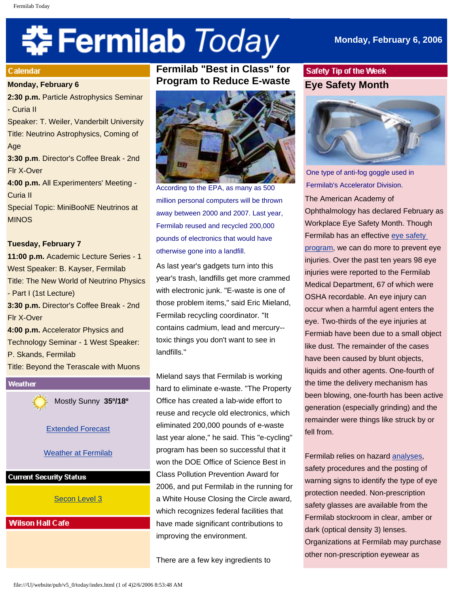# **‡⊱ Fermilab** *Today*

# **Monday, February 6, 2006**

#### Calendar

#### **Monday, February 6**

**2:30 p.m.** Particle Astrophysics Seminar - Curia II Speaker: T. Weiler, Vanderbilt University Title: Neutrino Astrophysics, Coming of Age **3:30 p.m**. Director's Coffee Break - 2nd Flr X-Over **4:00 p.m.** All Experimenters' Meeting -

Curia II

Special Topic: MiniBooNE Neutrinos at MINOS

#### **Tuesday, February 7**

**11:00 p.m.** Academic Lecture Series - 1 West Speaker: B. Kayser, Fermilab Title: The New World of Neutrino Physics - Part I (1st Lecture) **3:30 p.m.** Director's Coffee Break - 2nd Flr X-Over **4:00 p.m.** Accelerator Physics and Technology Seminar - 1 West Speaker: P. Skands, Fermilab Title: Beyond the Terascale with Muons

Weather Mostly Sunny **35º/18º** [Extended Forecast](http://www.srh.noaa.gov/data/forecasts/ILZ012.php?warncounty=ILC089&city=Batavia) [Weather at Fermilab](http://www-esh.fnal.gov/pls/default/weather.html) **Current Security Status** [Secon Level 3](http://www.fnal.gov/pub/about/public_affairs/currentstatus.html)

**Wilson Hall Cafe** 

# **Fermilab "Best in Class" for Program to Reduce E-waste**



According to the EPA, as many as 500 million personal computers will be thrown away between 2000 and 2007. Last year, Fermilab reused and recycled 200,000 pounds of electronics that would have otherwise gone into a landfill.

As last year's gadgets turn into this year's trash, landfills get more crammed with electronic junk. "E-waste is one of those problem items," said Eric Mieland, Fermilab recycling coordinator. "It contains cadmium, lead and mercury- toxic things you don't want to see in landfills."

Mieland says that Fermilab is working hard to eliminate e-waste. "The Property Office has created a lab-wide effort to reuse and recycle old electronics, which eliminated 200,000 pounds of e-waste last year alone," he said. This "e-cycling" program has been so successful that it won the DOE Office of Science Best in Class Pollution Prevention Award for 2006, and put Fermilab in the running for a White House Closing the Circle award, which recognizes federal facilities that have made significant contributions to improving the environment.

There are a few key ingredients to

# Safety Tip of the Week **Eye Safety Month**



One type of anti-fog goggle used in Fermilab's Accelerator Division.

The American Academy of Ophthalmology has declared February as Workplace Eye Safety Month. Though Fermilab has an effective [eye safety](http://www-esh.fnal.gov/FESHM/5000/5101.html) [program](http://www-esh.fnal.gov/FESHM/5000/5101.html), we can do more to prevent eye injuries. Over the past ten years 98 eye injuries were reported to the Fermilab Medical Department, 67 of which were OSHA recordable. An eye injury can occur when a harmful agent enters the eye. Two-thirds of the eye injuries at Fermiab have been due to a small object like dust. The remainder of the cases have been caused by blunt objects, liquids and other agents. One-fourth of the time the delivery mechanism has been blowing, one-fourth has been active generation (especially grinding) and the remainder were things like struck by or fell from.

Fermilab relies on hazard [analyses](http://www-esh.fnal.gov/FESHM/2000/2060.htm), safety procedures and the posting of warning signs to identify the type of eye protection needed. Non-prescription safety glasses are available from the Fermilab stockroom in clear, amber or dark (optical density 3) lenses. Organizations at Fermilab may purchase other non-prescription eyewear as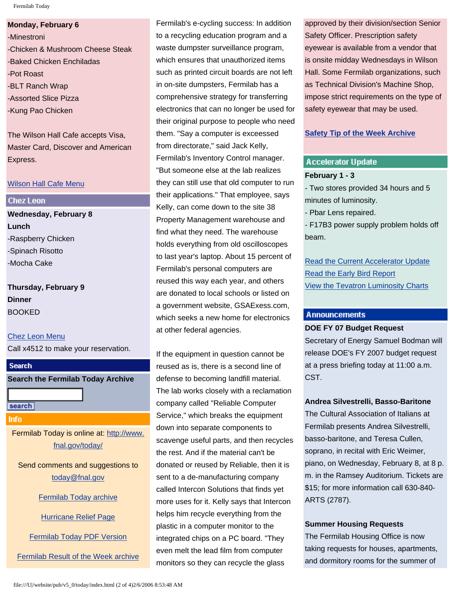Fermilab Today

**Monday, February 6** -Minestroni -Chicken & Mushroom Cheese Steak -Baked Chicken Enchiladas -Pot Roast -BLT Ranch Wrap -Assorted Slice Pizza -Kung Pao Chicken

The Wilson Hall Cafe accepts Visa, Master Card, Discover and American Express.

#### [Wilson Hall Cafe Menu](http://lss.fnal.gov/cafe/)

#### **Chez Leon**

**Wednesday, February 8 Lunch** -Raspberry Chicken -Spinach Risotto -Mocha Cake

**Thursday, February 9 Dinner** BOOKED

[Chez Leon Menu](http://lss.fnal.gov/chezleon/index.html) Call x4512 to make your reservation.

**Search the Fermilab Today Archive**

search

**Search** 

Info

Fermilab Today is online at: [http://www.](http://www.fnal.gov/today/) [fnal.gov/today/](http://www.fnal.gov/today/)

Send comments and suggestions to [today@fnal.gov](mailto:today@fnal.gov)

[Fermilab Today archive](http://www.fnal.gov/pub/today/archive.html)

[Hurricane Relief Page](http://www.fnal.gov/pub/today/katrina_relief.html)

[Fermilab Today PDF Version](http://www.fnal.gov/pub/today/archive.html)

[Fermilab Result of the Week archive](http://www.fnal.gov/pub/today/resultoftheweek/index.html)

Fermilab's e-cycling success: In addition to a recycling education program and a waste dumpster surveillance program, which ensures that unauthorized items such as printed circuit boards are not left in on-site dumpsters, Fermilab has a comprehensive strategy for transferring electronics that can no longer be used for their original purpose to people who need them. "Say a computer is exceessed from directorate," said Jack Kelly, Fermilab's Inventory Control manager. "But someone else at the lab realizes they can still use that old computer to run their applications." That employee, says Kelly, can come down to the site 38 Property Management warehouse and find what they need. The warehouse holds everything from old oscilloscopes to last year's laptop. About 15 percent of Fermilab's personal computers are reused this way each year, and others are donated to local schools or listed on a government website, GSAExess.com, which seeks a new home for electronics at other federal agencies.

If the equipment in question cannot be reused as is, there is a second line of defense to becoming landfill material. The lab works closely with a reclamation company called "Reliable Computer Service," which breaks the equipment down into separate components to scavenge useful parts, and then recycles the rest. And if the material can't be donated or reused by Reliable, then it is sent to a de-manufacturing company called Intercon Solutions that finds yet more uses for it. Kelly says that Intercon helps him recycle everything from the plastic in a computer monitor to the integrated chips on a PC board. "They even melt the lead film from computer monitors so they can recycle the glass

approved by their division/section Senior Safety Officer. Prescription safety eyewear is available from a vendor that is onsite midday Wednesdays in Wilson Hall. Some Fermilab organizations, such as Technical Division's Machine Shop, impose strict requirements on the type of safety eyewear that may be used.

# **[Safety Tip of the Week Archive](http://www.fnal.gov/pub/today/safety/index.html)**

# **Accelerator Update**

# **February 1 - 3**

- Two stores provided 34 hours and 5 minutes of luminosity.

- Pbar Lens repaired.

- F17B3 power supply problem holds off beam.

[Read the Current Accelerator Update](http://www.fnal.gov/pub/news06/update.html) [Read the Early Bird Report](http://www-bd.fnal.gov/earlybird/ebird.html) [View the Tevatron Luminosity Charts](http://www.fnal.gov/pub/now/tevlum.html)

# **Announcements**

## **DOE FY 07 Budget Request**

Secretary of Energy Samuel Bodman will release DOE's FY 2007 budget request at a press briefing today at 11:00 a.m. CST.

# **Andrea Silvestrelli, Basso-Baritone**

The Cultural Association of Italians at Fermilab presents Andrea Silvestrelli, basso-baritone, and Teresa Cullen, soprano, in recital with Eric Weimer, piano, on Wednesday, February 8, at 8 p. m. in the Ramsey Auditorium. Tickets are \$15; for more information call 630-840- ARTS (2787).

# **Summer Housing Requests**

The Fermilab Housing Office is now taking requests for houses, apartments, and dormitory rooms for the summer of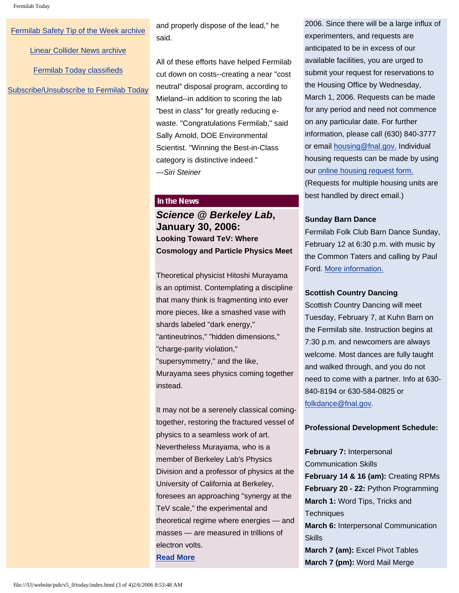#### [Fermilab Safety Tip of the Week archive](http://www.fnal.gov/pub/today/safety/index.html)

[Linear Collider News archive](http://www.fnal.gov/pub/today/linearcollider/index.html)

[Fermilab Today classifieds](http://www.fnal.gov/pub/today/classifieds.html)

[Subscribe/Unsubscribe to Fermilab Today](http://www.fnal.gov/pub/today/subscription.html)

and properly dispose of the lead," he said.

All of these efforts have helped Fermilab cut down on costs--creating a near "cost neutral" disposal program, according to Mieland--in addition to scoring the lab "best in class" for greatly reducing ewaste. "Congratulations Fermilab," said Sally Arnold, DOE Environmental Scientist. "Winning the Best-in-Class category is distinctive indeed." *—Siri Steiner*

## In the News

*Science @ Berkeley Lab***, January 30, 2006: Looking Toward TeV: Where Cosmology and Particle Physics Meet** 

Theoretical physicist Hitoshi Murayama is an optimist. Contemplating a discipline that many think is fragmenting into ever more pieces, like a smashed vase with shards labeled "dark energy," "antineutrinos," "hidden dimensions," "charge-parity violation," "supersymmetry," and the like, Murayama sees physics coming together instead.

It may not be a serenely classical comingtogether, restoring the fractured vessel of physics to a seamless work of art. Nevertheless Murayama, who is a member of Berkeley Lab's Physics Division and a professor of physics at the University of California at Berkeley, foresees an approaching "synergy at the TeV scale," the experimental and theoretical regime where energies — and masses — are measured in trillions of electron volts.

**[Read More](http://www.lbl.gov/Science-Articles/Archive/sabl/2006/Jan/04-TEV-pt1.html)**

2006. Since there will be a large influx of experimenters, and requests are anticipated to be in excess of our available facilities, you are urged to submit your request for reservations to the Housing Office by Wednesday, March 1, 2006. Requests can be made for any period and need not commence on any particular date. For further information, please call (630) 840-3777 or email [housing@fnal.gov.](mailto:housing@fnal.gov) Individual housing requests can be made by using our [online housing request form.](http://lss.fnal.gov/housing/housing_request.html) (Requests for multiple housing units are best handled by direct email.)

#### **Sunday Barn Dance**

Fermilab Folk Club Barn Dance Sunday, February 12 at 6:30 p.m. with music by the Common Taters and calling by Paul Ford. [More information.](http://www.fnal.gov/orgs/folkclub/)

## **Scottish Country Dancing**

Scottish Country Dancing will meet Tuesday, February 7, at Kuhn Barn on the Fermilab site. Instruction begins at 7:30 p.m. and newcomers are always welcome. Most dances are fully taught and walked through, and you do not need to come with a partner. Info at 630- 840-8194 or 630-584-0825 or [folkdance@fnal.gov.](mailto:folkdance@fnal.gov)

#### **Professional Development Schedule:**

**February 7:** Interpersonal Communication Skills **February 14 & 16 (am):** Creating RPMs **February 20 - 22:** Python Programming **March 1:** Word Tips, Tricks and **Techniques March 6:** Interpersonal Communication **Skills March 7 (am):** Excel Pivot Tables **March 7 (pm):** Word Mail Merge